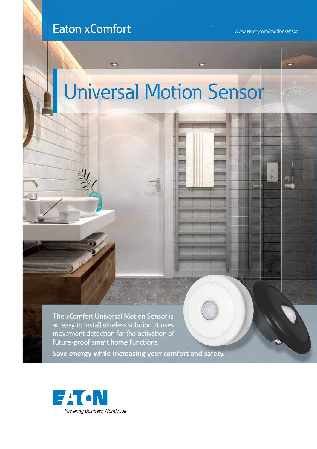### Eaton xComfort

 $\geq$  11

 $\sqrt{2}$ 

www.eaton.com/motionsensor

 $\overline{ }$ 

# Universal Motion Sensor

 $\sqrt{2}$ 

The xComfort Universal Motion Sensor is an easy to install wireless solution. It uses movement detection for the activation of future-proof smart home functions.

**Save energy while increasing your comfort and safety.**

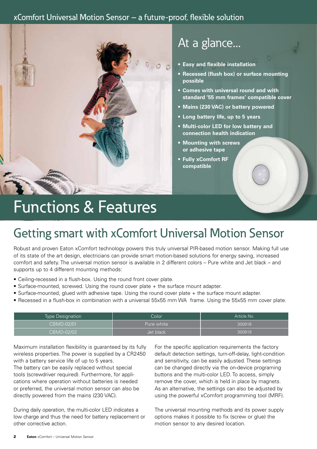#### xComfort Universal Motion Sensor – a future-proof, flexible solution



### At a glance...

- **• Easy and flexible installation**
- **• Recessed (flush box) or surface mounting possible**
- **• Comes with universal round and with standard '55 mm frames' compatible cover**
- **• Mains (230 VAC) or battery powered**
- **• Long battery life, up to 5 years**
- **• Multi-color LED for low battery and connection health indication**
- **• Mounting with screws or adhesive tape**
- **• Fully xComfort RF compatible**

# Functions & Features

# Getting smart with xComfort Universal Motion Sensor

Robust and proven Eaton xComfort technology powers this truly universal PIR-based motion sensor. Making full use of its state of the art design, electricians can provide smart motion-based solutions for energy saving, increased comfort and safety. The universal motion sensor is available in 2 different colors – Pure white and Jet black – and supports up to 4 different mounting methods:

- Ceiling-recessed in a flush-box. Using the round front cover plate.
- Surface-mounted, screwed. Using the round cover plate + the surface mount adapter.
- Surface-mounted, glued with adhesive tape. Using the round cover plate + the surface mount adapter.
- Recessed in a flush-box in combination with a universal 55x55 mm WA frame. Using the 55x55 mm cover plate.

| <b>Type Designation</b> | Color      | Article No. |
|-------------------------|------------|-------------|
| CBMD-02/01              | Pure white | 300918      |
| CBMD-02/02              | Jet black. | 300919      |

Maximum installation flexibility is guaranteed by its fully wireless properties. The power is supplied by a CR2450 with a battery service life of up to 5 years.

The battery can be easily replaced without special tools (screwdriver required). Furthermore, for applications where operation without batteries is needed or preferred, the universal motion sensor can also be directly powered from the mains (230 VAC).

During daily operation, the multi-color LED indicates a low charge and thus the need for battery replacement or other corrective action.

For the specific application requirements the factory default detection settings, turn-off-delay, light-condition and sensitivity, can be easily adjusted. These settings can be changed directly via the on-device programing buttons and the multi-color LED. To access, simply remove the cover, which is held in place by magnets. As an alternative, the settings can also be adjusted by using the powerful xComfort programming tool (MRF).

The universal mounting methods and its power supply options makes it possible to fix (screw or glue) the motion sensor to any desired location.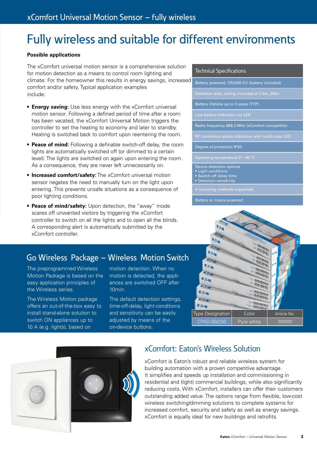## Fully wireless and suitable for different environments

#### **Possible applications**

The xComfort universal motion sensor is a comprehensive solution for motion detection as a means to control room lighting and climate: For the homeowner this results in energy savings, increased comfort and/or safety. Typical application examples include:

- **• Energy saving:** Use less energy with the xComfort universal motion sensor. Following a defined period of time after a room has been vacated, the xComfort Universal Motion triggers the controller to set the heating to economy and later to standby. Heating is switched back to comfort upon reentering the room.
- **• Peace of mind:** Following a definable switch-off delay, the room lights are automatically switched off (or dimmed to a certain level). The lights are switched on again upon entering the room. As a consequence, they are never left unnecessarily on.
- **• Increased comfort/safety:** The xComfort universal motion sensor negates the need to manually turn on the light upon entering. This prevents unsafe situations as a consequence of poor lighting conditions.
- **• Peace of mind/safety:** Upon detection, the "away" mode scares off unwanted visitors by triggering the xComfort controller to switch on all the lights and to open all the blinds. A corresponding alert is automatically submitted by the xComfort controller.

### Go Wireless Package – Wireless Motion Switch

The preprogrammed Wireless Motion Package is based on the easy application principles of the Wireless series.

The Wireless Motion package offers an out-of-the-box easy to install stand-alone solution to switch ON appliances up to 10 A (e.g. lights), based on

motion detection. When no motion is detected, the appliances are switched OFF after 10min.

The default detection settings, time-off-delay, light-conditions and sensitivity can be easily adjusted by means of the on-device buttons.

#### Technical Specifications

- Battery powered, CR2450 3 V (battery included)
- 
- Battery lifetime up to 5 years (TYP)
- Low battery indication via LED
- Radio frequency 868.3 MHz (xComfort compatible)
- 
- Degree of protection IP20
- 
- Device detection options
- Light conditions
- Switch-off delay time • Detection sensitivity
- 
- Battery or mains powered





#### xComfort: Eaton's Wireless Solution

xComfort is Eaton's robust and reliable wireless system for building automation with a proven competitive advantage. It simplifies and speeds up installation and commissioning in residential and (light) commercial buildings, while also significantly reducing costs. With xComfort, installers can offer their customers outstanding added value. The options range from flexible, low-cost wireless switching/dimming solutions to complete systems for increased comfort, security and safety as well as energy savings. xComfort is equally ideal for new buildings and retrofits.